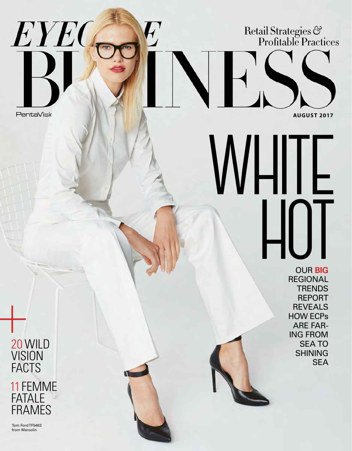Retail Strategies &<br>Profitable Practices

**AUGUST 2017**

**PentaVisir** 

EYEO

# OUR **BIG REGIONAL TRENDS** REPORT REVEALS **WHITE HOT**

HOW ECPs ARE FAR-ING FROM SEA TO SHINING

SEA

 20 WILD **VISION FACTS**  11 FEMME FATALE<br>FRAMES **FRAMES**<br>FACTS<br>TIEMM<br>FATALE<br>FRAMES

> Tom Ford TF5463 from Marcolin